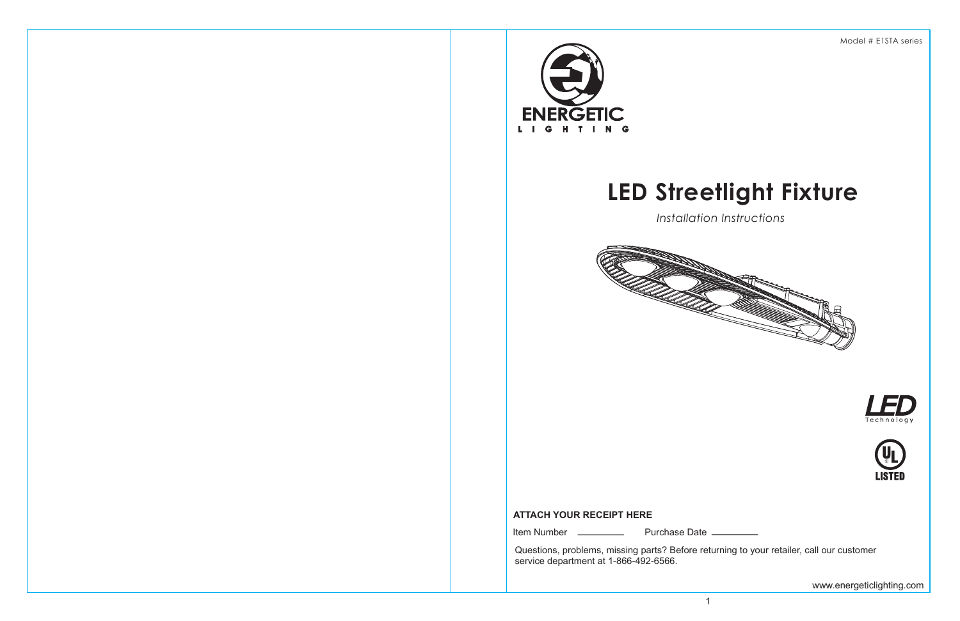# **LED Streetlight Fixture**

*Installation Instructions*



Model # E1STA series





Questions, problems, missing parts? Before returning to your retailer, call our customer service department at 1-866-492-6566.

Item Number Purchase Date

# **ATTACH YOUR RECEIPT HERE**

www.energeticlighting.com

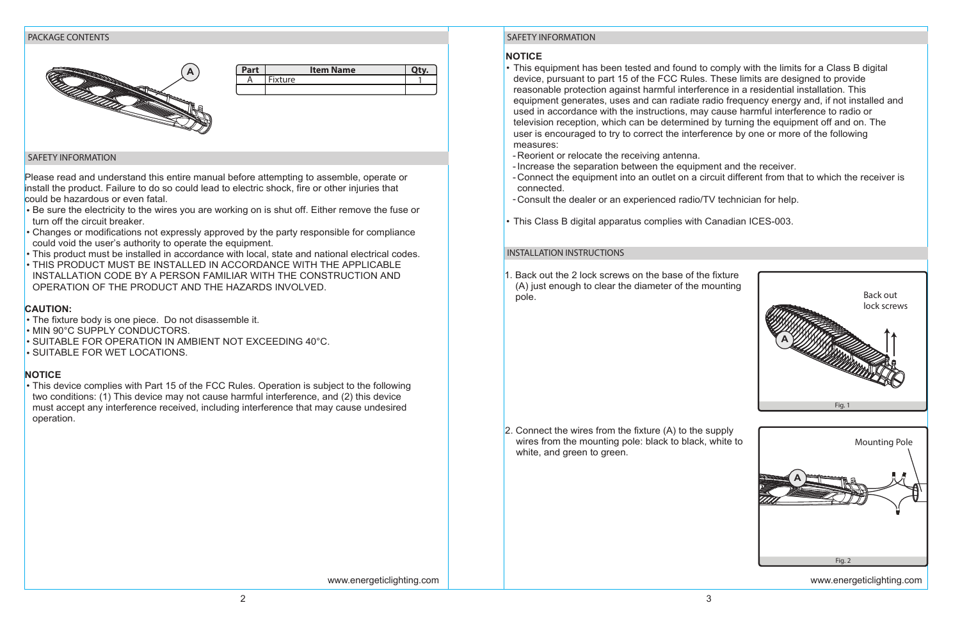## **NOTICE**

equipment generates, uses and can radiate radio frequency energy and, if not installed and

- This equipment has been tested and found to comply with the limits for a Class B digital device, pursuant to part 15 of the FCC Rules. These limits are designed to provide reasonable protection against harmful interference in a residential installation. This used in accordance with the instructions, may cause harmful interference to radio or television reception, which can be determined by turning the equipment off and on. The user is encouraged to try to correct the interference by one or more of the following measures:
- Reorient or relocate the receiving antenna. -
- Increase the separation between the equipment and the receiver. connected.
- Consult the dealer or an experienced radio/TV technician for help. -
- This Class B digital apparatus complies with Canadian ICES-003. •

Connect the equipment into an outlet on a circuit different from that to which the receiver is -

- Be sure the electricity to the wires you are working on is shut off. Either remove the fuse or turn off the circuit breaker.
- Changes or modifications not expressly approved by the party responsible for compliance could void the user's authority to operate the equipment.
- This product must be installed in accordance with local, state and national electrical codes. •
- THIS PRODUCT MUST BE INSTALLED IN ACCORDANCE WITH THE APPLICABLE INSTALLATION CODE BY A PERSON FAMILIAR WITH THE CONSTRUCTION AND OPERATION OF THE PRODUCT AND THE HAZARDS INVOLVED.

- The fixture body is one piece. Do not disassemble it. •
- MIN 90°C SUPPLY CONDUCTORS.
- SUITABLE FOR OPERATION IN AMBIENT NOT EXCEEDING 40°C. •
- SUITABLE FOR WET LOCATIONS.

Please read and understand this entire manual before attempting to assemble, operate or install the product. Failure to do so could lead to electric shock, fire or other injuries that could be hazardous or even fatal.

> 2. Connect the wires from the fixture (A) to the supply wires from the mounting pole: black to black, white to white, and green to green.

#### **CAUTION:**

# **NOTICE**

This device complies with Part 15 of the FCC Rules. Operation is subject to the following • two conditions: (1) This device may not cause harmful interference, and (2) this device must accept any interference received, including interference that may cause undesired operation.

1. Back out the 2 lock screws on the base of the fixture (A) just enough to clear the diameter of the mounting pole.

| Part | <b>Item Name</b> |  |
|------|------------------|--|
|      | <b>Fixture</b>   |  |
|      |                  |  |

#### PACKAGE CONTENTS

#### SAFETY INFORMATION

# SAFETY INFORMATION

#### INSTALLATION INSTRUCTIONS